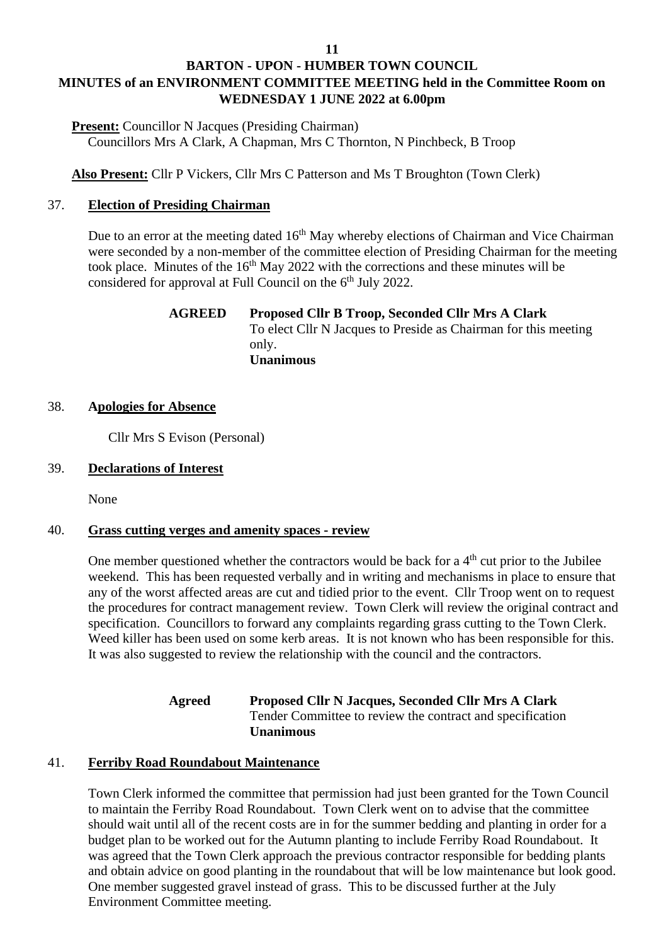# **BARTON - UPON - HUMBER TOWN COUNCIL MINUTES of an ENVIRONMENT COMMITTEE MEETING held in the Committee Room on WEDNESDAY 1 JUNE 2022 at 6.00pm**

**Present:** Councillor N Jacques (Presiding Chairman) Councillors Mrs A Clark, A Chapman, Mrs C Thornton, N Pinchbeck, B Troop

**Also Present:** Cllr P Vickers, Cllr Mrs C Patterson and Ms T Broughton (Town Clerk)

# 37. **Election of Presiding Chairman**

Due to an error at the meeting dated 16<sup>th</sup> May whereby elections of Chairman and Vice Chairman were seconded by a non-member of the committee election of Presiding Chairman for the meeting took place. Minutes of the  $16<sup>th</sup>$  May 2022 with the corrections and these minutes will be considered for approval at Full Council on the 6<sup>th</sup> July 2022.

### **AGREED Proposed Cllr B Troop, Seconded Cllr Mrs A Clark** To elect Cllr N Jacques to Preside as Chairman for this meeting only. **Unanimous**

# 38. **Apologies for Absence**

Cllr Mrs S Evison (Personal)

# 39. **Declarations of Interest**

None

### 40. **Grass cutting verges and amenity spaces - review**

One member questioned whether the contractors would be back for a  $4<sup>th</sup>$  cut prior to the Jubilee weekend. This has been requested verbally and in writing and mechanisms in place to ensure that any of the worst affected areas are cut and tidied prior to the event. Cllr Troop went on to request the procedures for contract management review. Town Clerk will review the original contract and specification. Councillors to forward any complaints regarding grass cutting to the Town Clerk. Weed killer has been used on some kerb areas. It is not known who has been responsible for this. It was also suggested to review the relationship with the council and the contractors.

> **Agreed Proposed Cllr N Jacques, Seconded Cllr Mrs A Clark** Tender Committee to review the contract and specification **Unanimous**

### 41. **Ferriby Road Roundabout Maintenance**

Town Clerk informed the committee that permission had just been granted for the Town Council to maintain the Ferriby Road Roundabout. Town Clerk went on to advise that the committee should wait until all of the recent costs are in for the summer bedding and planting in order for a budget plan to be worked out for the Autumn planting to include Ferriby Road Roundabout. It was agreed that the Town Clerk approach the previous contractor responsible for bedding plants and obtain advice on good planting in the roundabout that will be low maintenance but look good. One member suggested gravel instead of grass. This to be discussed further at the July Environment Committee meeting.